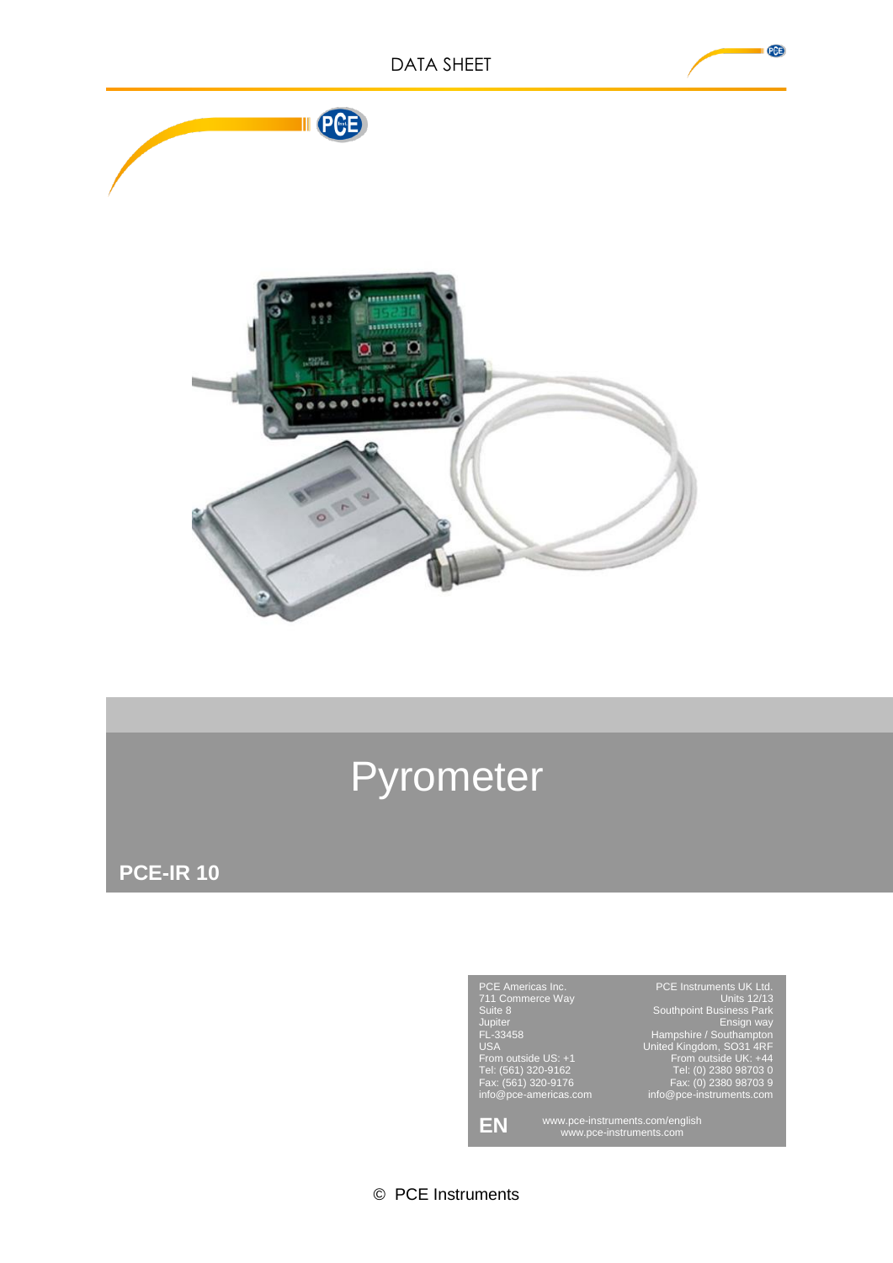III PCE



## Pyrometer

**PCE-IR 10**



© PCE Instruments

PCB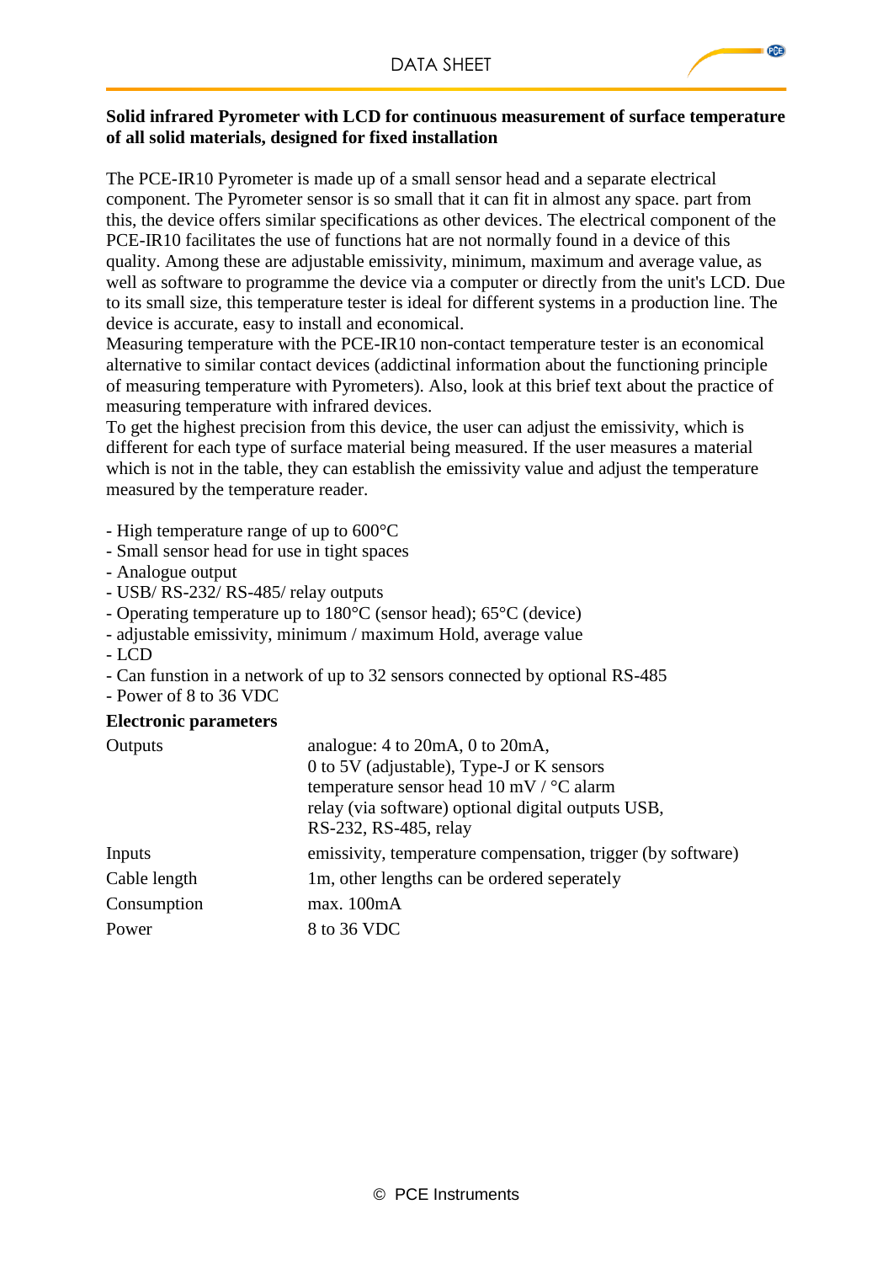PCE

## **Solid infrared Pyrometer with LCD for continuous measurement of surface temperature of all solid materials, designed for fixed installation**

The PCE-IR10 Pyrometer is made up of a small sensor head and a separate electrical component. The Pyrometer sensor is so small that it can fit in almost any space. part from this, the device offers similar specifications as other devices. The electrical component of the PCE-IR10 facilitates the use of functions hat are not normally found in a device of this quality. Among these are adjustable emissivity, minimum, maximum and average value, as well as software to programme the device via a computer or directly from the unit's LCD. Due to its small size, this temperature tester is ideal for different systems in a production line. The device is accurate, easy to install and economical.

Measuring temperature with the PCE-IR10 non-contact temperature tester is an economical alternative to similar contact devices (addictinal information about the functioning principle of measuring temperature with Pyrometers). Also, look at this brief text about the practice of measuring temperature with infrared devices.

To get the highest precision from this device, the user can adjust the emissivity, which is different for each type of surface material being measured. If the user measures a material which is not in the table, they can establish the emissivity value and adjust the temperature measured by the temperature reader.

- High temperature range of up to 600°C
- Small sensor head for use in tight spaces
- Analogue output
- USB/ RS-232/ RS-485/ relay outputs
- Operating temperature up to 180°C (sensor head); 65°C (device)
- adjustable emissivity, minimum / maximum Hold, average value
- LCD
- Can funstion in a network of up to 32 sensors connected by optional RS-485
- Power of 8 to 36 VDC

## **Electronic parameters**

| Outputs      | analogue: $4$ to $20mA$ , $0$ to $20mA$ ,<br>0 to 5V (adjustable), Type-J or K sensors<br>temperature sensor head 10 mV / $\degree$ C alarm<br>relay (via software) optional digital outputs USB, |
|--------------|---------------------------------------------------------------------------------------------------------------------------------------------------------------------------------------------------|
| Inputs       | RS-232, RS-485, relay<br>emissivity, temperature compensation, trigger (by software)                                                                                                              |
| Cable length | 1m, other lengths can be ordered seperately                                                                                                                                                       |
| Consumption  | max.100mA                                                                                                                                                                                         |
| Power        | 8 to 36 VDC                                                                                                                                                                                       |